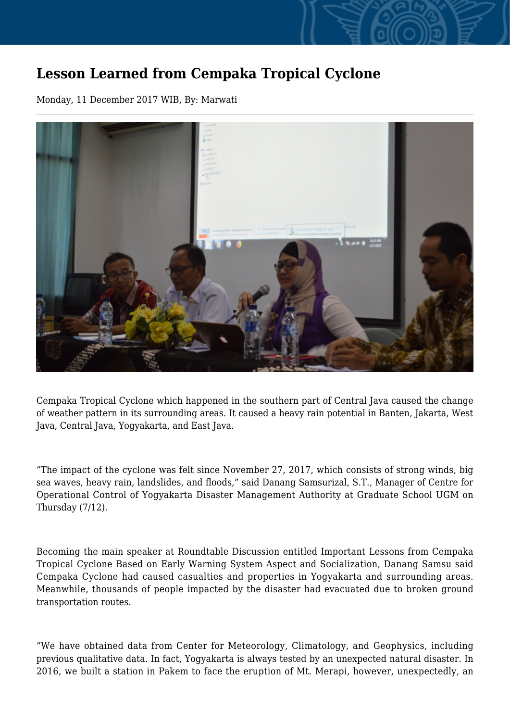## **Lesson Learned from Cempaka Tropical Cyclone**

Monday, 11 December 2017 WIB, By: Marwati



Cempaka Tropical Cyclone which happened in the southern part of Central Java caused the change of weather pattern in its surrounding areas. It caused a heavy rain potential in Banten, Jakarta, West Java, Central Java, Yogyakarta, and East Java.

"The impact of the cyclone was felt since November 27, 2017, which consists of strong winds, big sea waves, heavy rain, landslides, and floods," said Danang Samsurizal, S.T., Manager of Centre for Operational Control of Yogyakarta Disaster Management Authority at Graduate School UGM on Thursday (7/12).

Becoming the main speaker at Roundtable Discussion entitled Important Lessons from Cempaka Tropical Cyclone Based on Early Warning System Aspect and Socialization, Danang Samsu said Cempaka Cyclone had caused casualties and properties in Yogyakarta and surrounding areas. Meanwhile, thousands of people impacted by the disaster had evacuated due to broken ground transportation routes.

"We have obtained data from Center for Meteorology, Climatology, and Geophysics, including previous qualitative data. In fact, Yogyakarta is always tested by an unexpected natural disaster. In 2016, we built a station in Pakem to face the eruption of Mt. Merapi, however, unexpectedly, an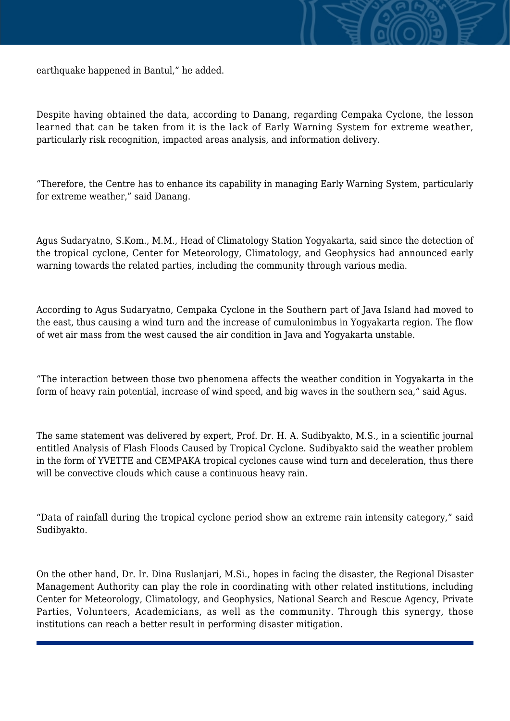earthquake happened in Bantul," he added.

Despite having obtained the data, according to Danang, regarding Cempaka Cyclone, the lesson learned that can be taken from it is the lack of Early Warning System for extreme weather, particularly risk recognition, impacted areas analysis, and information delivery.

"Therefore, the Centre has to enhance its capability in managing Early Warning System, particularly for extreme weather," said Danang.

Agus Sudaryatno, S.Kom., M.M., Head of Climatology Station Yogyakarta, said since the detection of the tropical cyclone, Center for Meteorology, Climatology, and Geophysics had announced early warning towards the related parties, including the community through various media.

According to Agus Sudaryatno, Cempaka Cyclone in the Southern part of Java Island had moved to the east, thus causing a wind turn and the increase of cumulonimbus in Yogyakarta region. The flow of wet air mass from the west caused the air condition in Java and Yogyakarta unstable.

"The interaction between those two phenomena affects the weather condition in Yogyakarta in the form of heavy rain potential, increase of wind speed, and big waves in the southern sea," said Agus.

The same statement was delivered by expert, Prof. Dr. H. A. Sudibyakto, M.S., in a scientific journal entitled Analysis of Flash Floods Caused by Tropical Cyclone. Sudibyakto said the weather problem in the form of YVETTE and CEMPAKA tropical cyclones cause wind turn and deceleration, thus there will be convective clouds which cause a continuous heavy rain.

"Data of rainfall during the tropical cyclone period show an extreme rain intensity category," said Sudibyakto.

On the other hand, Dr. Ir. Dina Ruslanjari, M.Si., hopes in facing the disaster, the Regional Disaster Management Authority can play the role in coordinating with other related institutions, including Center for Meteorology, Climatology, and Geophysics, National Search and Rescue Agency, Private Parties, Volunteers, Academicians, as well as the community. Through this synergy, those institutions can reach a better result in performing disaster mitigation.